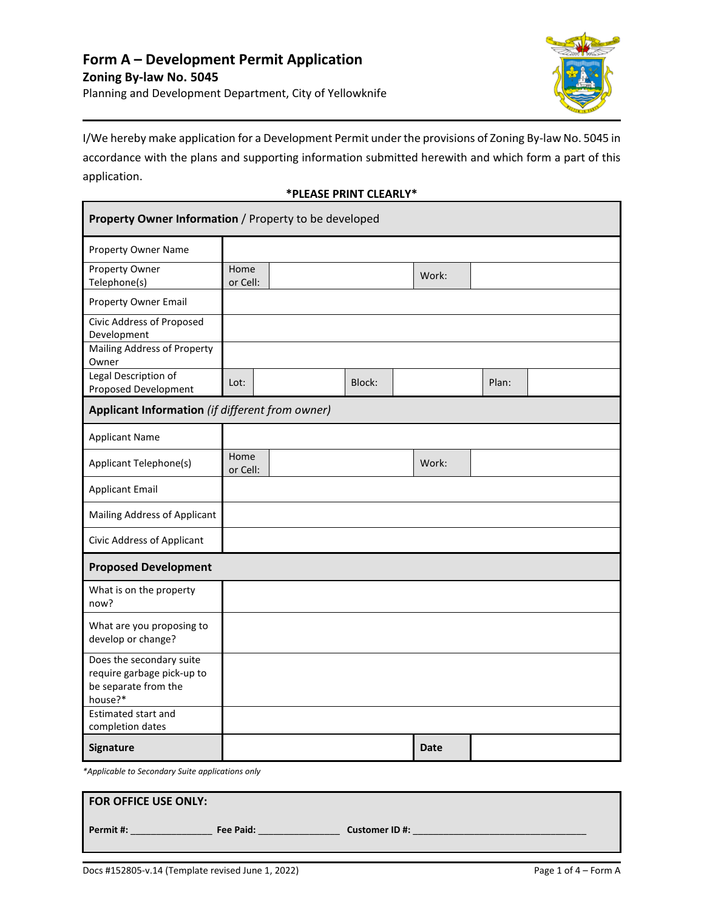

I/We hereby make application for a Development Permit under the provisions of Zoning By-law No. 5045 in accordance with the plans and supporting information submitted herewith and which form a part of this application.

### **\*PLEASE PRINT CLEARLY\***

| Property Owner Information / Property to be developed                                     |                  |  |        |             |       |  |
|-------------------------------------------------------------------------------------------|------------------|--|--------|-------------|-------|--|
| <b>Property Owner Name</b>                                                                |                  |  |        |             |       |  |
| Property Owner<br>Telephone(s)                                                            | Home<br>or Cell: |  |        | Work:       |       |  |
| Property Owner Email                                                                      |                  |  |        |             |       |  |
| Civic Address of Proposed<br>Development                                                  |                  |  |        |             |       |  |
| Mailing Address of Property<br>Owner                                                      |                  |  |        |             |       |  |
| Legal Description of<br>Proposed Development                                              | Lot:             |  | Block: |             | Plan: |  |
| Applicant Information (if different from owner)                                           |                  |  |        |             |       |  |
| <b>Applicant Name</b>                                                                     |                  |  |        |             |       |  |
| Applicant Telephone(s)                                                                    | Home<br>or Cell: |  |        | Work:       |       |  |
| <b>Applicant Email</b>                                                                    |                  |  |        |             |       |  |
| Mailing Address of Applicant                                                              |                  |  |        |             |       |  |
| Civic Address of Applicant                                                                |                  |  |        |             |       |  |
| <b>Proposed Development</b>                                                               |                  |  |        |             |       |  |
| What is on the property<br>now?                                                           |                  |  |        |             |       |  |
| What are you proposing to<br>develop or change?                                           |                  |  |        |             |       |  |
| Does the secondary suite<br>require garbage pick-up to<br>be separate from the<br>house?* |                  |  |        |             |       |  |
| Estimated start and<br>completion dates                                                   |                  |  |        |             |       |  |
| Signature                                                                                 |                  |  |        | <b>Date</b> |       |  |

*\*Applicable to Secondary Suite applications only*

| <b>FOR OFFICE USE ONLY:</b> |           |                       |
|-----------------------------|-----------|-----------------------|
| Permit #:                   | Fee Paid: | <b>Customer ID #:</b> |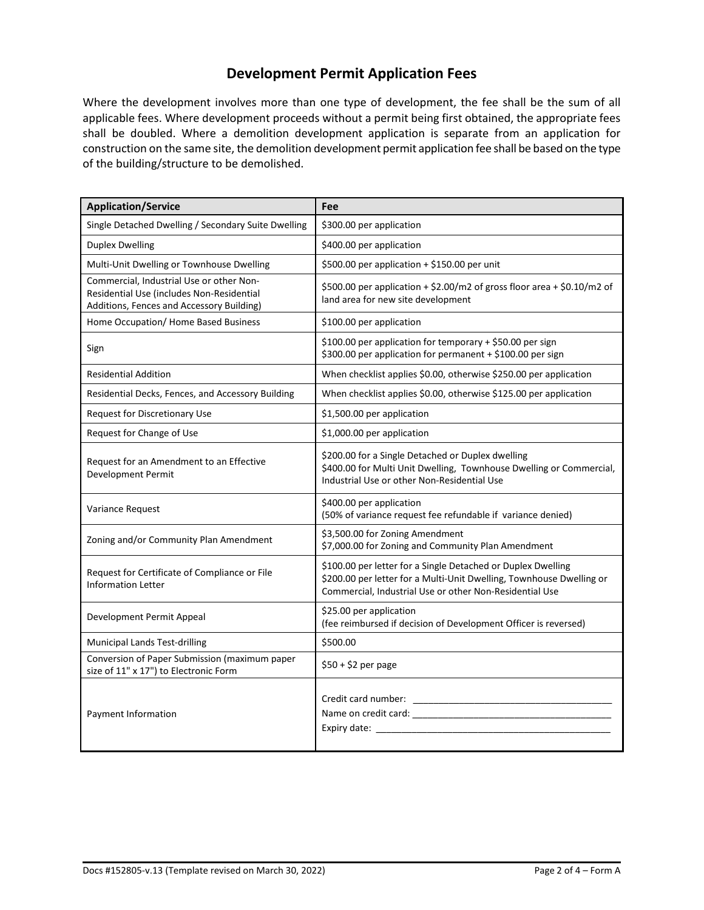# **Development Permit Application Fees**

Where the development involves more than one type of development, the fee shall be the sum of all applicable fees. Where development proceeds without a permit being first obtained, the appropriate fees shall be doubled. Where a demolition development application is separate from an application for construction on the same site, the demolition development permit application fee shall be based on the type of the building/structure to be demolished.

| <b>Application/Service</b>                                                                                                         | Fee                                                                                                                                                                                             |  |  |  |  |
|------------------------------------------------------------------------------------------------------------------------------------|-------------------------------------------------------------------------------------------------------------------------------------------------------------------------------------------------|--|--|--|--|
| Single Detached Dwelling / Secondary Suite Dwelling                                                                                | \$300.00 per application                                                                                                                                                                        |  |  |  |  |
| <b>Duplex Dwelling</b>                                                                                                             | \$400.00 per application                                                                                                                                                                        |  |  |  |  |
| Multi-Unit Dwelling or Townhouse Dwelling                                                                                          | \$500.00 per application + \$150.00 per unit                                                                                                                                                    |  |  |  |  |
| Commercial, Industrial Use or other Non-<br>Residential Use (includes Non-Residential<br>Additions, Fences and Accessory Building) | \$500.00 per application + \$2.00/m2 of gross floor area + \$0.10/m2 of<br>land area for new site development                                                                                   |  |  |  |  |
| Home Occupation/ Home Based Business                                                                                               | \$100.00 per application                                                                                                                                                                        |  |  |  |  |
| Sign                                                                                                                               | \$100.00 per application for temporary + \$50.00 per sign<br>\$300.00 per application for permanent + \$100.00 per sign                                                                         |  |  |  |  |
| <b>Residential Addition</b>                                                                                                        | When checklist applies \$0.00, otherwise \$250.00 per application                                                                                                                               |  |  |  |  |
| Residential Decks, Fences, and Accessory Building                                                                                  | When checklist applies \$0.00, otherwise \$125.00 per application                                                                                                                               |  |  |  |  |
| <b>Request for Discretionary Use</b>                                                                                               | \$1,500.00 per application                                                                                                                                                                      |  |  |  |  |
| Request for Change of Use                                                                                                          | \$1,000.00 per application                                                                                                                                                                      |  |  |  |  |
| Request for an Amendment to an Effective<br>Development Permit                                                                     | \$200.00 for a Single Detached or Duplex dwelling<br>\$400.00 for Multi Unit Dwelling, Townhouse Dwelling or Commercial,<br>Industrial Use or other Non-Residential Use                         |  |  |  |  |
| Variance Request                                                                                                                   | \$400.00 per application<br>(50% of variance request fee refundable if variance denied)                                                                                                         |  |  |  |  |
| Zoning and/or Community Plan Amendment                                                                                             | \$3,500.00 for Zoning Amendment<br>\$7,000.00 for Zoning and Community Plan Amendment                                                                                                           |  |  |  |  |
| Request for Certificate of Compliance or File<br><b>Information Letter</b>                                                         | \$100.00 per letter for a Single Detached or Duplex Dwelling<br>\$200.00 per letter for a Multi-Unit Dwelling, Townhouse Dwelling or<br>Commercial, Industrial Use or other Non-Residential Use |  |  |  |  |
| Development Permit Appeal                                                                                                          | \$25.00 per application<br>(fee reimbursed if decision of Development Officer is reversed)                                                                                                      |  |  |  |  |
| <b>Municipal Lands Test-drilling</b>                                                                                               | \$500.00                                                                                                                                                                                        |  |  |  |  |
| Conversion of Paper Submission (maximum paper<br>size of 11" x 17") to Electronic Form                                             | \$50 + \$2 per page                                                                                                                                                                             |  |  |  |  |
| Payment Information                                                                                                                | Name on credit card: Name on credit card:                                                                                                                                                       |  |  |  |  |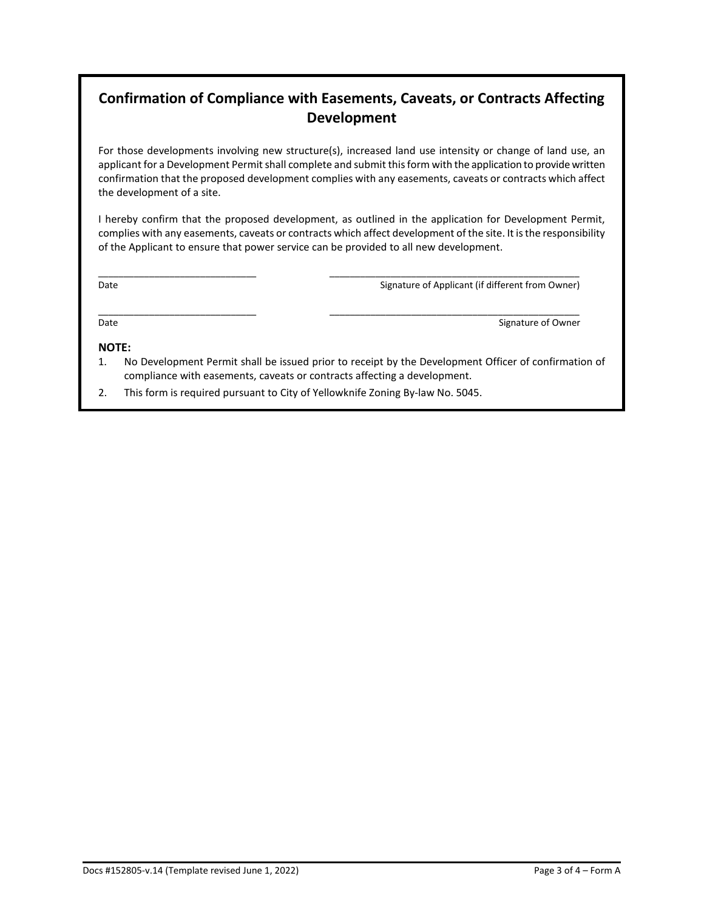# **Confirmation of Compliance with Easements, Caveats, or Contracts Affecting Development**

For those developments involving new structure(s), increased land use intensity or change of land use, an applicant for a Development Permit shall complete and submit this form with the application to provide written confirmation that the proposed development complies with any easements, caveats or contracts which affect the development of a site.

I hereby confirm that the proposed development, as outlined in the application for Development Permit, complies with any easements, caveats or contracts which affect development of the site. It is the responsibility of the Applicant to ensure that power service can be provided to all new development.

\_\_\_\_\_\_\_\_\_\_\_\_\_\_\_\_\_\_\_\_\_\_\_\_\_\_\_\_\_\_\_ \_\_\_\_\_\_\_\_\_\_\_\_\_\_\_\_\_\_\_\_\_\_\_\_\_\_\_\_\_\_\_\_\_\_\_\_\_\_\_\_\_\_\_\_\_\_\_\_\_

\_\_\_\_\_\_\_\_\_\_\_\_\_\_\_\_\_\_\_\_\_\_\_\_\_\_\_\_\_\_\_ \_\_\_\_\_\_\_\_\_\_\_\_\_\_\_\_\_\_\_\_\_\_\_\_\_\_\_\_\_\_\_\_\_\_\_\_\_\_\_\_\_\_\_\_\_\_\_\_\_

Date **Signature of Applicant (if different from Owner)** Signature of Applicant (if different from Owner)

### Date **Signature of Owner** Signature of Owner

### **NOTE:**

- 1. No Development Permit shall be issued prior to receipt by the Development Officer of confirmation of compliance with easements, caveats or contracts affecting a development.
- 2. This form is required pursuant to City of Yellowknife Zoning By-law No. 5045.